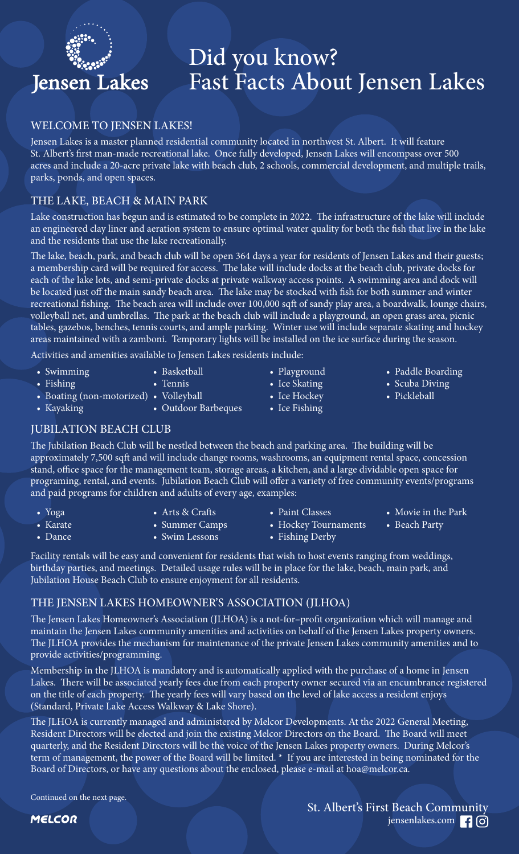# **Jensen Lakes**

## Did you know? Fast Facts About Jensen Lakes

#### WELCOME TO JENSEN LAKES!

Jensen Lakes is a master planned residential community located in northwest St. Albert. It will feature St. Albert's first man-made recreational lake. Once fully developed, Jensen Lakes will encompass over 500 acres and include a 20-acre private lake with beach club, 2 schools, commercial development, and multiple trails, parks, ponds, and open spaces.

#### THE LAKE, BEACH & MAIN PARK

Lake construction has begun and is estimated to be complete in 2022. The infrastructure of the lake will include an engineered clay liner and aeration system to ensure optimal water quality for both the fish that live in the lake and the residents that use the lake recreationally.

The lake, beach, park, and beach club will be open 364 days a year for residents of Jensen Lakes and their guests; a membership card will be required for access. The lake will include docks at the beach club, private docks for each of the lake lots, and semi-private docks at private walkway access points. A swimming area and dock will be located just off the main sandy beach area. The lake may be stocked with fish for both summer and winter recreational fishing. The beach area will include over 100,000 sqft of sandy play area, a boardwalk, lounge chairs, volleyball net, and umbrellas. The park at the beach club will include a playground, an open grass area, picnic tables, gazebos, benches, tennis courts, and ample parking. Winter use will include separate skating and hockey areas maintained with a zamboni. Temporary lights will be installed on the ice surface during the season.

Activities and amenities available to Jensen Lakes residents include:

• Basketball

• Swimming

• Kayaking

• Dance

- Fishing
	- Tennis
- Boating (non-motorized) Volleyball
	- Outdoor Barbeques
- Playground

• Ice Fishing

- Ice Skating
- Ice Hockey
- Paddle Boarding • Scuba Diving
- Pickleball
- 

JUBILATION BEACH CLUB

The Jubilation Beach Club will be nestled between the beach and parking area. The building will be approximately 7,500 sqft and will include change rooms, washrooms, an equipment rental space, concession stand, office space for the management team, storage areas, a kitchen, and a large dividable open space for programing, rental, and events. Jubilation Beach Club will offer a variety of free community events/programs and paid programs for children and adults of every age, examples:

- Yoga • Arts & Crafts
- Karate
- Summer Camps • Swim Lessons
- Paint Classes
- Movie in the Park
- Beach Party

- Hockey Tournaments • Fishing Derby
- Facility rentals will be easy and convenient for residents that wish to host events ranging from weddings, birthday parties, and meetings. Detailed usage rules will be in place for the lake, beach, main park, and

Jubilation House Beach Club to ensure enjoyment for all residents.

### THE JENSEN LAKES HOMEOWNER'S ASSOCIATION (JLHOA)

The Jensen Lakes Homeowner's Association (JLHOA) is a not-for–profit organization which will manage and maintain the Jensen Lakes community amenities and activities on behalf of the Jensen Lakes property owners. The JLHOA provides the mechanism for maintenance of the private Jensen Lakes community amenities and to provide activities/programming.

Membership in the JLHOA is mandatory and is automatically applied with the purchase of a home in Jensen Lakes. There will be associated yearly fees due from each property owner secured via an encumbrance registered on the title of each property. The yearly fees will vary based on the level of lake access a resident enjoys (Standard, Private Lake Access Walkway & Lake Shore).

The JLHOA is currently managed and administered by Melcor Developments. At the 2022 General Meeting, Resident Directors will be elected and join the existing Melcor Directors on the Board. The Board will meet quarterly, and the Resident Directors will be the voice of the Jensen Lakes property owners. During Melcor's term of management, the power of the Board will be limited. \* If you are interested in being nominated for the Board of Directors, or have any questions about the enclosed, please e-mail at hoa@melcor.ca.

Continued on the next page.